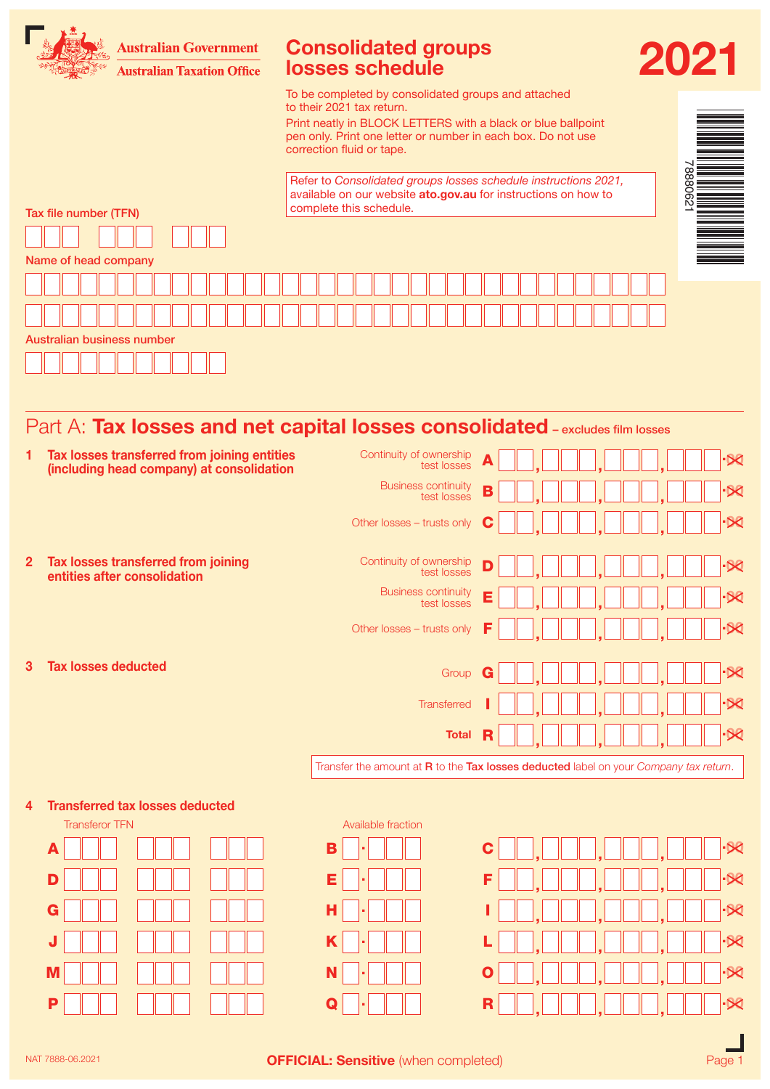

# Part A: Tax losses and net capital losses consolidated - excludes film losses

| 1            | Tax losses transferred from joining entities<br>(including head company) at consolidation | Continuity of ownership<br>test losses    | $-80$                                                                                 |
|--------------|-------------------------------------------------------------------------------------------|-------------------------------------------|---------------------------------------------------------------------------------------|
|              |                                                                                           | <b>Business continuity</b><br>test losses | $-80$<br>В                                                                            |
|              |                                                                                           | Other losses - trusts only                | $-80$<br>C                                                                            |
| $\mathbf{2}$ | Tax losses transferred from joining<br>entities after consolidation                       | Continuity of ownership<br>test losses    | $-80$<br>D                                                                            |
|              |                                                                                           | <b>Business continuity</b><br>test losses | $-80$<br>E                                                                            |
|              |                                                                                           | Other losses - trusts only                | $-50$<br>F                                                                            |
| 3            | <b>Tax losses deducted</b>                                                                | Group                                     | $-80$<br>G                                                                            |
|              |                                                                                           | Transferred                               | $-80$                                                                                 |
|              |                                                                                           | <b>Total</b>                              | $-80$<br>R                                                                            |
|              |                                                                                           |                                           | Transfer the amount at R to the Tax losses deducted label on your Company tax return. |
| 4            | <b>Transferred tax losses deducted</b><br><b>Transferor TFN</b>                           | Available fraction                        |                                                                                       |
|              | A                                                                                         | B                                         | $-80$<br>C                                                                            |
|              | D                                                                                         | Е                                         | $-80$<br>F                                                                            |
|              | G                                                                                         | н                                         | $-80$                                                                                 |
|              | J                                                                                         | Κ                                         | $-80$                                                                                 |
|              | M                                                                                         |                                           | $-80$<br>O                                                                            |
|              | P                                                                                         |                                           | $-80$<br>R                                                                            |
|              |                                                                                           |                                           |                                                                                       |

NAT 7888-06.2021 **OFFICIAL: Sensitive** (when completed) **CHECIAL:** Sensitive (when completed)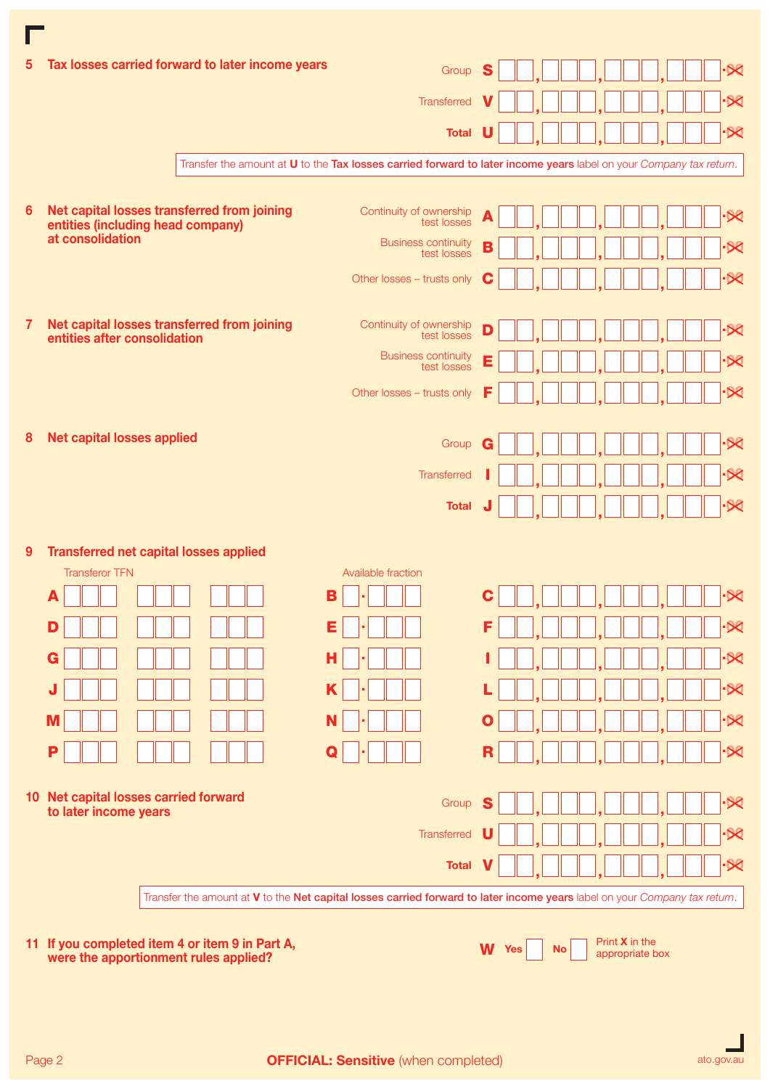| $5^{\circ}$ | Tax losses carried forward to later income years                                         | Group                                                                                                                      | S  |              |           |                                     |  | ·DQ                                                |
|-------------|------------------------------------------------------------------------------------------|----------------------------------------------------------------------------------------------------------------------------|----|--------------|-----------|-------------------------------------|--|----------------------------------------------------|
|             |                                                                                          | Transferred                                                                                                                |    |              |           |                                     |  | $\overline{\mathcal{X}}$                           |
|             |                                                                                          | <b>Total</b>                                                                                                               | U  |              |           |                                     |  | $\overline{\mathcal{X}}$                           |
|             |                                                                                          | Transfer the amount at U to the Tax losses carried forward to later income years label on your Company tax return.         |    |              |           |                                     |  |                                                    |
|             |                                                                                          |                                                                                                                            |    |              |           |                                     |  |                                                    |
| 6           | Net capital losses transferred from joining<br>entities (including head company)         | Continuity of ownership<br>test losses                                                                                     | A  |              |           |                                     |  | $-88$                                              |
|             | at consolidation                                                                         | <b>Business continuity</b><br>test losses                                                                                  | B  |              |           |                                     |  | $-80$                                              |
|             |                                                                                          | Other losses - trusts only                                                                                                 | C  |              |           |                                     |  | $-58$                                              |
| 7           | Net capital losses transferred from joining<br>entities after consolidation              | Continuity of ownership<br>test losses                                                                                     | D  |              |           |                                     |  | $-50$                                              |
|             |                                                                                          | <b>Business continuity</b><br>test losses                                                                                  | Е  |              |           |                                     |  | $\overline{\mathcal{X}}$                           |
|             |                                                                                          | Other losses - trusts only                                                                                                 | F  |              |           |                                     |  | $\overline{\mathcal{X}}$                           |
| 8           | <b>Net capital losses applied</b>                                                        |                                                                                                                            |    |              |           |                                     |  | $\overline{\mathcal{X}}$                           |
|             |                                                                                          | Group                                                                                                                      | G  |              |           |                                     |  |                                                    |
|             |                                                                                          | Transferred                                                                                                                |    |              |           |                                     |  | $\overline{\mathsf{x}}$<br>$\overline{\mathsf{X}}$ |
|             |                                                                                          | <b>Total</b>                                                                                                               |    |              |           |                                     |  |                                                    |
| 9           | <b>Transferred net capital losses applied</b>                                            |                                                                                                                            |    |              |           |                                     |  |                                                    |
|             | <b>Transferor TFN</b>                                                                    | Available fraction                                                                                                         |    |              |           |                                     |  |                                                    |
|             | А                                                                                        | в                                                                                                                          | С  |              |           |                                     |  | ∙×                                                 |
|             | D                                                                                        | Е                                                                                                                          | F  |              |           |                                     |  | $-80$                                              |
|             | G                                                                                        | н                                                                                                                          |    |              |           |                                     |  | $-80$                                              |
|             | J                                                                                        | K                                                                                                                          |    |              |           |                                     |  | $-80$                                              |
|             | M                                                                                        | N                                                                                                                          | O  |              |           |                                     |  | $-80$                                              |
|             | P                                                                                        | Q                                                                                                                          | R  |              |           |                                     |  | $-58$                                              |
|             | 10 Net capital losses carried forward<br>to later income years                           | Group                                                                                                                      | S  |              |           |                                     |  | $-50$                                              |
|             |                                                                                          | Transferred                                                                                                                | IJ |              |           |                                     |  | ·X                                                 |
|             |                                                                                          | <b>Total</b>                                                                                                               |    |              |           |                                     |  | $\overline{\mathsf{x}}$                            |
|             |                                                                                          | Transfer the amount at V to the Net capital losses carried forward to later income years label on your Company tax return. |    |              |           |                                     |  |                                                    |
|             |                                                                                          |                                                                                                                            |    |              |           |                                     |  |                                                    |
|             | 11 If you completed item 4 or item 9 in Part A,<br>were the apportionment rules applied? |                                                                                                                            |    | <b>W</b> Yes | <b>No</b> | Print $X$ in the<br>appropriate box |  |                                                    |

 $\blacksquare$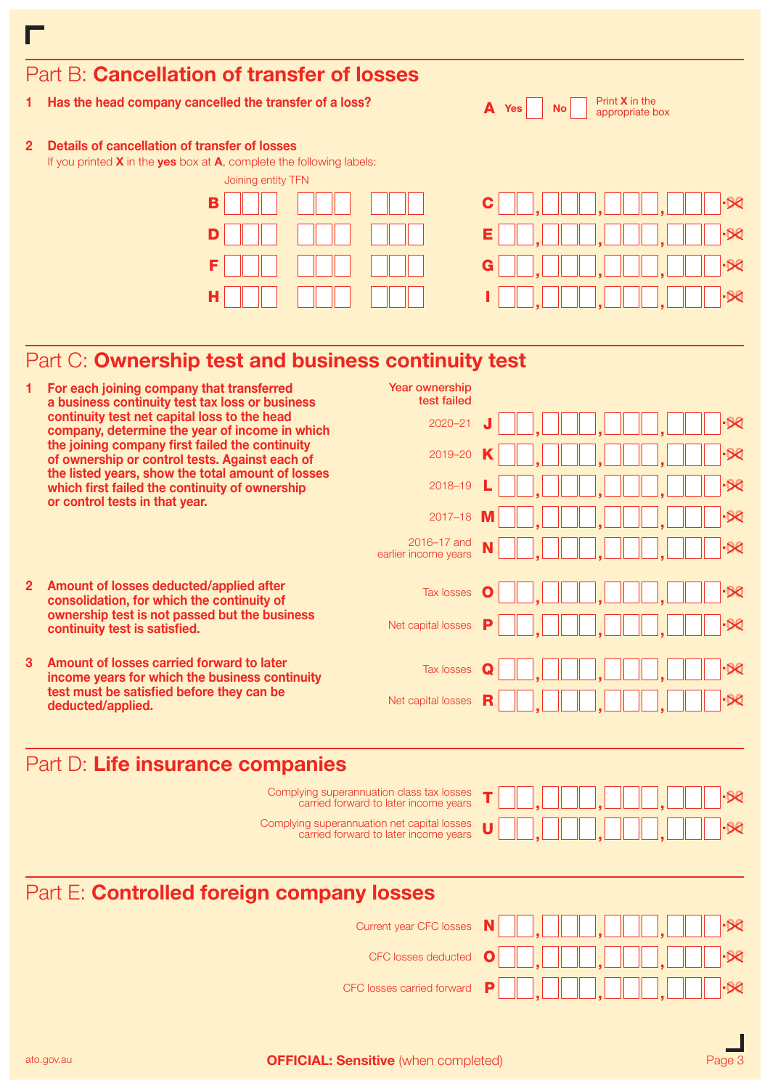| Has the head company cancelled the transfer of a loss?                                                                                                             | Print <b>X</b> in the<br>A<br><b>Yes</b><br><b>No</b><br>appropriate box |
|--------------------------------------------------------------------------------------------------------------------------------------------------------------------|--------------------------------------------------------------------------|
| Details of cancellation of transfer of losses<br>$\overline{2}$<br>If you printed $X$ in the yes box at $A$ , complete the following labels:<br>Joining entity TFN |                                                                          |
| в                                                                                                                                                                  |                                                                          |
| D                                                                                                                                                                  | E.                                                                       |
| F                                                                                                                                                                  | G                                                                        |
| н                                                                                                                                                                  |                                                                          |
|                                                                                                                                                                    |                                                                          |
| Part C: Ownership test and business continuity test                                                                                                                |                                                                          |

# Part B: Cancellation of transfer of losses

г

 $\mathsf{c}\,\blacksquare\,\blacksquare$  ,  $\blacksquare\,\square\,\square\,\square\,\blacksquare$  .  $\mathbb{R}$ E  $\square\square$ ,  $\square\square\square$ ,  $\square\square\square$ ,  $\square\square\square\cdot\!\!\ast$ .00 <sup>G</sup> , , ,  $\blacksquare$  , 000,000,000 $\blacksquare$ 

|                                           | For each joining company that transferred<br>a business continuity test tax loss or business                                                                                                                                                                                                                                                 | <b>Year ownership</b><br>test failed                                                 |   |                          |  |  |  |
|-------------------------------------------|----------------------------------------------------------------------------------------------------------------------------------------------------------------------------------------------------------------------------------------------------------------------------------------------------------------------------------------------|--------------------------------------------------------------------------------------|---|--------------------------|--|--|--|
|                                           | continuity test net capital loss to the head<br>company, determine the year of income in which<br>the joining company first failed the continuity<br>of ownership or control tests. Against each of<br>the listed years, show the total amount of losses<br>which first failed the continuity of ownership<br>or control tests in that year. | $2020 - 21$                                                                          |   | $-80$                    |  |  |  |
|                                           |                                                                                                                                                                                                                                                                                                                                              | 2019-20                                                                              |   | $-80$                    |  |  |  |
|                                           |                                                                                                                                                                                                                                                                                                                                              | 2018-19                                                                              |   | $-80$                    |  |  |  |
|                                           |                                                                                                                                                                                                                                                                                                                                              | $2017 - 18$                                                                          |   | $\overline{\mathcal{R}}$ |  |  |  |
|                                           |                                                                                                                                                                                                                                                                                                                                              | 2016-17 and<br>earlier income years                                                  |   | $-80$                    |  |  |  |
| $\mathbf{2}$                              | Amount of losses deducted/applied after<br>consolidation, for which the continuity of                                                                                                                                                                                                                                                        | <b>Tax losses</b>                                                                    |   | $\cdot$ $\otimes$        |  |  |  |
|                                           | ownership test is not passed but the business<br>continuity test is satisfied.                                                                                                                                                                                                                                                               | Net capital losses                                                                   |   | $\overline{\mathcal{R}}$ |  |  |  |
| 3                                         | Amount of losses carried forward to later<br>income years for which the business continuity                                                                                                                                                                                                                                                  | Tax losses                                                                           | Q | $-80$                    |  |  |  |
|                                           | test must be satisfied before they can be<br>deducted/applied.                                                                                                                                                                                                                                                                               | Net capital losses                                                                   |   | $\overline{\mathsf{X}}$  |  |  |  |
|                                           | Part D: Life insurance companies                                                                                                                                                                                                                                                                                                             |                                                                                      |   |                          |  |  |  |
|                                           |                                                                                                                                                                                                                                                                                                                                              | Complying superannuation class tax losses<br>carried forward to later income years   |   | -98                      |  |  |  |
|                                           |                                                                                                                                                                                                                                                                                                                                              | Complying superannuation net capital losses<br>carried forward to later income years | П | $\overline{\mathsf{x}}$  |  |  |  |
| Part E: Controlled foreign company losses |                                                                                                                                                                                                                                                                                                                                              |                                                                                      |   |                          |  |  |  |
|                                           |                                                                                                                                                                                                                                                                                                                                              | <b>Current year CFC losses</b>                                                       |   | $\overline{\mathcal{R}}$ |  |  |  |
|                                           |                                                                                                                                                                                                                                                                                                                                              | <b>CFC losses deducted</b>                                                           | O |                          |  |  |  |
|                                           |                                                                                                                                                                                                                                                                                                                                              | CFC losses carried forward                                                           | Р | $-80$                    |  |  |  |